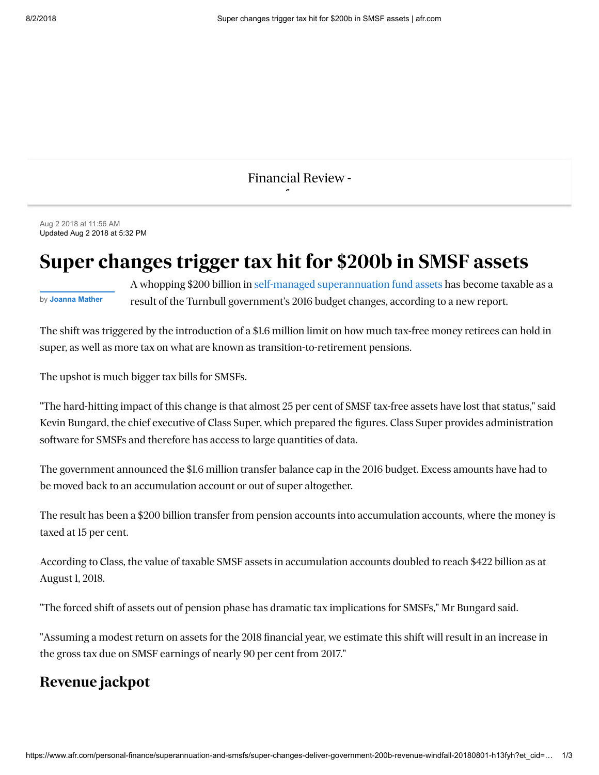[Financial Review -](https://www.afr.com/)

f

Aug 2 2018 at 11:56 AM Updated Aug 2 2018 at 5:32 PM

## **Super changes trigger tax hit for \$200b in SMSF assets**

by **[Joanna Mather](https://www.afr.com/personal-finance/superannuation-and-smsfs/joanna-mather-j7gd3.html)**

A whopping \$200 billion in [self-managed superannuation fund assets](https://www.afr.com/personal-finance/superannuation-and-smsfs/got-less-than-1m-in-assets-forget-a-selfmanaged-super-fund-20180527-h10lo6) has become taxable as a result of the Turnbull government's 2016 budget changes, according to a new report.

The shift was triggered by the introduction of a \$1.6 million limit on how much tax-free money retirees can hold in super, as well as more tax on what are known as transition-to-retirement pensions.

The upshot is much bigger tax bills for SMSFs.

"The hard-hitting impact of this change is that almost 25 per cent of SMSF tax-free assets have lost that status," said Kevin Bungard, the chief executive of Class Super, which prepared the figures. Class Super provides administration software for SMSFs and therefore has access to large quantities of data.

The government announced the \$1.6 million transfer balance cap in the 2016 budget. Excess amounts have had to be moved back to an accumulation account or out of super altogether.

The result has been a \$200 billion transfer from pension accounts into accumulation accounts, where the money is taxed at 15 per cent.

According to Class, the value of taxable SMSF assets in accumulation accounts doubled to reach \$422 billion as at August 1, 2018.

"The forced shift of assets out of pension phase has dramatic tax implications for SMSFs," Mr Bungard said.

"Assuming a modest return on assets for the 2018 financial year, we estimate this shift will result in an increase in the gross tax due on SMSF earnings of nearly 90 per cent from 2017."

## **Revenue jackpot**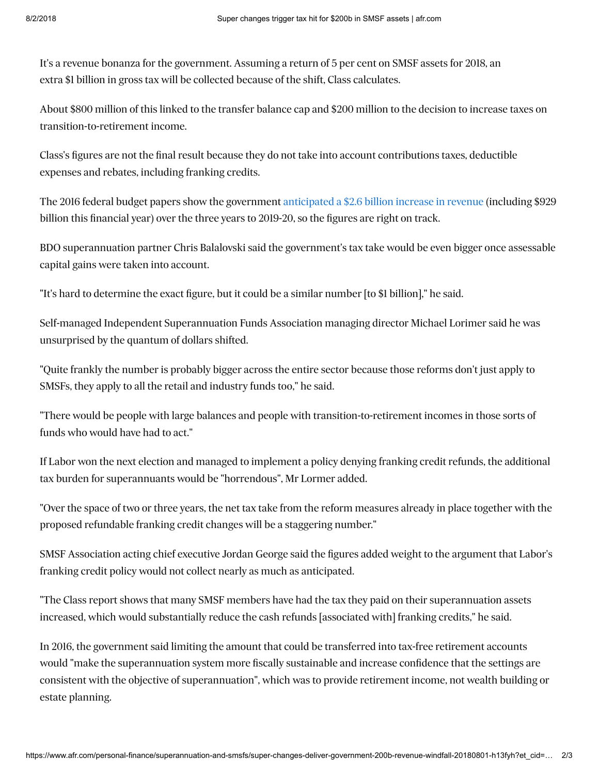It's a revenue bonanza for the government. Assuming a return of 5 per cent on SMSF assets for 2018, an extra \$1 billion in gross tax will be collected because of the shift, Class calculates.

About \$800 million of this linked to the transfer balance cap and \$200 million to the decision to increase taxes on transition-to-retirement income.

Class's figures are not the final result because they do not take into account contributions taxes, deductible expenses and rebates, including franking credits.

The 2016 federal budget papers show the government [anticipated a \\$2.6 billion increase in revenue](https://www.budget.gov.au/2016-17/content/bp2/html/bp2_revenue-10.htm) (including \$929 billion this financial year) over the three years to 2019-20, so the figures are right on track.

BDO superannuation partner Chris Balalovski said the government's tax take would be even bigger once assessable capital gains were taken into account.

"It's hard to determine the exact figure, but it could be a similar number [to \$1 billion]," he said.

Self-managed Independent Superannuation Funds Association managing director Michael Lorimer said he was unsurprised by the quantum of dollars shifted.

"Quite frankly the number is probably bigger across the entire sector because those reforms don't just apply to SMSFs, they apply to all the retail and industry funds too," he said.

"There would be people with large balances and people with transition-to-retirement incomes in those sorts of funds who would have had to act."

If Labor won the next election and managed to implement a policy denying franking credit refunds, the additional tax burden for superannuants would be "horrendous", Mr Lormer added.

"Over the space of two or three years, the net tax take from the reform measures already in place together with the proposed refundable franking credit changes will be a staggering number."

SMSF Association acting chief executive Jordan George said the figures added weight to the argument that Labor's franking credit policy would not collect nearly as much as anticipated.

"The Class report shows that many SMSF members have had the tax they paid on their superannuation assets increased, which would substantially reduce the cash refunds [associated with] franking credits," he said.

In 2016, the government said limiting the amount that could be transferred into tax-free retirement accounts would "make the superannuation system more fiscally sustainable and increase confidence that the settings are consistent with the objective of superannuation", which was to provide retirement income, not wealth building or estate planning.